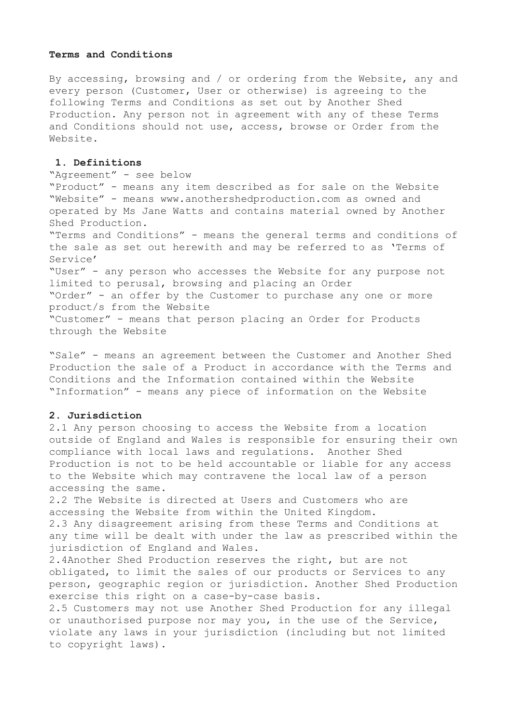#### **Terms and Conditions**

By accessing, browsing and / or ordering from the Website, any and every person (Customer, User or otherwise) is agreeing to the following Terms and Conditions as set out by Another Shed Production. Any person not in agreement with any of these Terms and Conditions should not use, access, browse or Order from the Website.

#### **1. Definitions**

"Agreement" - see below "Product" - means any item described as for sale on the Website "Website" - means www.anothershedproduction.com as owned and operated by Ms Jane Watts and contains material owned by Another Shed Production. "Terms and Conditions" - means the general terms and conditions of the sale as set out herewith and may be referred to as 'Terms of Service' "User" - any person who accesses the Website for any purpose not limited to perusal, browsing and placing an Order "Order" - an offer by the Customer to purchase any one or more product/s from the Website "Customer" - means that person placing an Order for Products through the Website

"Sale" - means an agreement between the Customer and Another Shed Production the sale of a Product in accordance with the Terms and Conditions and the Information contained within the Website "Information" - means any piece of information on the Website

### **2. Jurisdiction**

2.1 Any person choosing to access the Website from a location outside of England and Wales is responsible for ensuring their own compliance with local laws and regulations. Another Shed Production is not to be held accountable or liable for any access to the Website which may contravene the local law of a person accessing the same.

2.2 The Website is directed at Users and Customers who are accessing the Website from within the United Kingdom. 2.3 Any disagreement arising from these Terms and Conditions at any time will be dealt with under the law as prescribed within the jurisdiction of England and Wales.

2.4Another Shed Production reserves the right, but are not obligated, to limit the sales of our products or Services to any person, geographic region or jurisdiction. Another Shed Production exercise this right on a case-by-case basis.

2.5 Customers may not use Another Shed Production for any illegal or unauthorised purpose nor may you, in the use of the Service, violate any laws in your jurisdiction (including but not limited to copyright laws).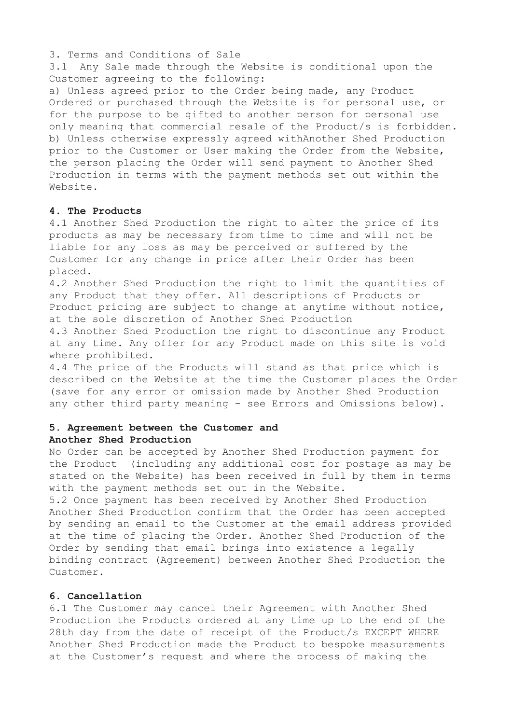3. Terms and Conditions of Sale

3.1 Any Sale made through the Website is conditional upon the Customer agreeing to the following:

a) Unless agreed prior to the Order being made, any Product Ordered or purchased through the Website is for personal use, or for the purpose to be gifted to another person for personal use only meaning that commercial resale of the Product/s is forbidden. b) Unless otherwise expressly agreed withAnother Shed Production prior to the Customer or User making the Order from the Website, the person placing the Order will send payment to Another Shed Production in terms with the payment methods set out within the Website.

## **4. The Products**

4.1 Another Shed Production the right to alter the price of its products as may be necessary from time to time and will not be liable for any loss as may be perceived or suffered by the Customer for any change in price after their Order has been placed.

4.2 Another Shed Production the right to limit the quantities of any Product that they offer. All descriptions of Products or Product pricing are subject to change at anytime without notice, at the sole discretion of Another Shed Production

4.3 Another Shed Production the right to discontinue any Product at any time. Any offer for any Product made on this site is void where prohibited.

4.4 The price of the Products will stand as that price which is described on the Website at the time the Customer places the Order (save for any error or omission made by Another Shed Production any other third party meaning - see Errors and Omissions below).

# **5. Agreement between the Customer and Another Shed Production**

No Order can be accepted by Another Shed Production payment for the Product (including any additional cost for postage as may be stated on the Website) has been received in full by them in terms with the payment methods set out in the Website.

5.2 Once payment has been received by Another Shed Production Another Shed Production confirm that the Order has been accepted by sending an email to the Customer at the email address provided at the time of placing the Order. Another Shed Production of the Order by sending that email brings into existence a legally binding contract (Agreement) between Another Shed Production the Customer.

#### **6. Cancellation**

6.1 The Customer may cancel their Agreement with Another Shed Production the Products ordered at any time up to the end of the 28th day from the date of receipt of the Product/s EXCEPT WHERE Another Shed Production made the Product to bespoke measurements at the Customer's request and where the process of making the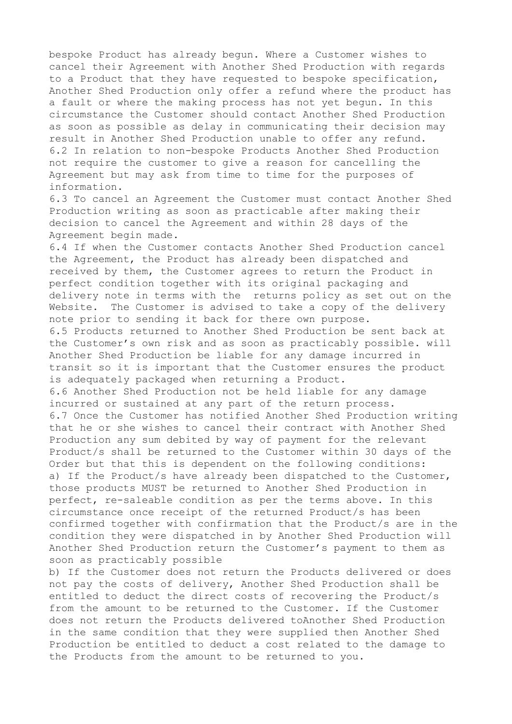bespoke Product has already begun. Where a Customer wishes to cancel their Agreement with Another Shed Production with regards to a Product that they have requested to bespoke specification, Another Shed Production only offer a refund where the product has a fault or where the making process has not yet begun. In this circumstance the Customer should contact Another Shed Production as soon as possible as delay in communicating their decision may result in Another Shed Production unable to offer any refund. 6.2 In relation to non-bespoke Products Another Shed Production not require the customer to give a reason for cancelling the Agreement but may ask from time to time for the purposes of information.

6.3 To cancel an Agreement the Customer must contact Another Shed Production writing as soon as practicable after making their decision to cancel the Agreement and within 28 days of the Agreement begin made.

6.4 If when the Customer contacts Another Shed Production cancel the Agreement, the Product has already been dispatched and received by them, the Customer agrees to return the Product in perfect condition together with its original packaging and delivery note in terms with the returns policy as set out on the Website. The Customer is advised to take a copy of the delivery note prior to sending it back for there own purpose. 6.5 Products returned to Another Shed Production be sent back at the Customer's own risk and as soon as practicably possible. will Another Shed Production be liable for any damage incurred in transit so it is important that the Customer ensures the product is adequately packaged when returning a Product. 6.6 Another Shed Production not be held liable for any damage incurred or sustained at any part of the return process. 6.7 Once the Customer has notified Another Shed Production writing that he or she wishes to cancel their contract with Another Shed Production any sum debited by way of payment for the relevant Product/s shall be returned to the Customer within 30 days of the Order but that this is dependent on the following conditions: a) If the Product/s have already been dispatched to the Customer, those products MUST be returned to Another Shed Production in perfect, re-saleable condition as per the terms above. In this circumstance once receipt of the returned Product/s has been confirmed together with confirmation that the Product/s are in the condition they were dispatched in by Another Shed Production will Another Shed Production return the Customer's payment to them as

soon as practicably possible

b) If the Customer does not return the Products delivered or does not pay the costs of delivery, Another Shed Production shall be entitled to deduct the direct costs of recovering the Product/s from the amount to be returned to the Customer. If the Customer does not return the Products delivered toAnother Shed Production in the same condition that they were supplied then Another Shed Production be entitled to deduct a cost related to the damage to the Products from the amount to be returned to you.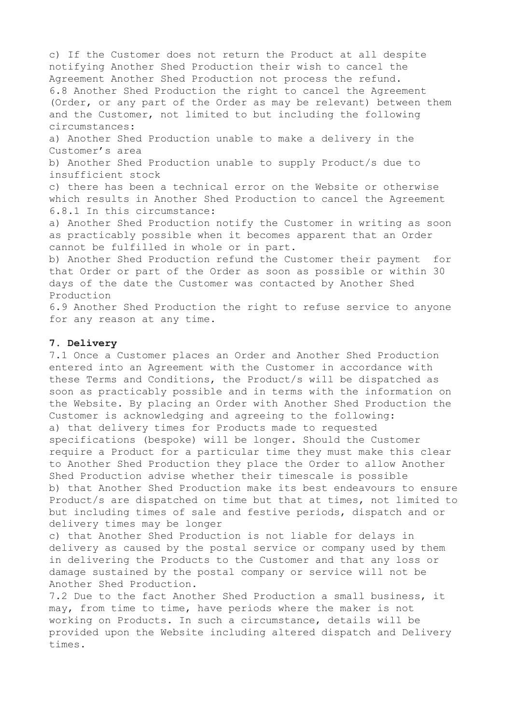c) If the Customer does not return the Product at all despite notifying Another Shed Production their wish to cancel the Agreement Another Shed Production not process the refund. 6.8 Another Shed Production the right to cancel the Agreement (Order, or any part of the Order as may be relevant) between them and the Customer, not limited to but including the following circumstances: a) Another Shed Production unable to make a delivery in the Customer's area b) Another Shed Production unable to supply Product/s due to insufficient stock c) there has been a technical error on the Website or otherwise which results in Another Shed Production to cancel the Agreement 6.8.1 In this circumstance: a) Another Shed Production notify the Customer in writing as soon as practicably possible when it becomes apparent that an Order cannot be fulfilled in whole or in part. b) Another Shed Production refund the Customer their payment for that Order or part of the Order as soon as possible or within 30 days of the date the Customer was contacted by Another Shed Production

6.9 Another Shed Production the right to refuse service to anyone for any reason at any time.

## **7. Delivery**

7.1 Once a Customer places an Order and Another Shed Production entered into an Agreement with the Customer in accordance with these Terms and Conditions, the Product/s will be dispatched as soon as practicably possible and in terms with the information on the Website. By placing an Order with Another Shed Production the Customer is acknowledging and agreeing to the following: a) that delivery times for Products made to requested specifications (bespoke) will be longer. Should the Customer require a Product for a particular time they must make this clear to Another Shed Production they place the Order to allow Another Shed Production advise whether their timescale is possible b) that Another Shed Production make its best endeavours to ensure Product/s are dispatched on time but that at times, not limited to but including times of sale and festive periods, dispatch and or delivery times may be longer

c) that Another Shed Production is not liable for delays in delivery as caused by the postal service or company used by them in delivering the Products to the Customer and that any loss or damage sustained by the postal company or service will not be Another Shed Production.

7.2 Due to the fact Another Shed Production a small business, it may, from time to time, have periods where the maker is not working on Products. In such a circumstance, details will be provided upon the Website including altered dispatch and Delivery times.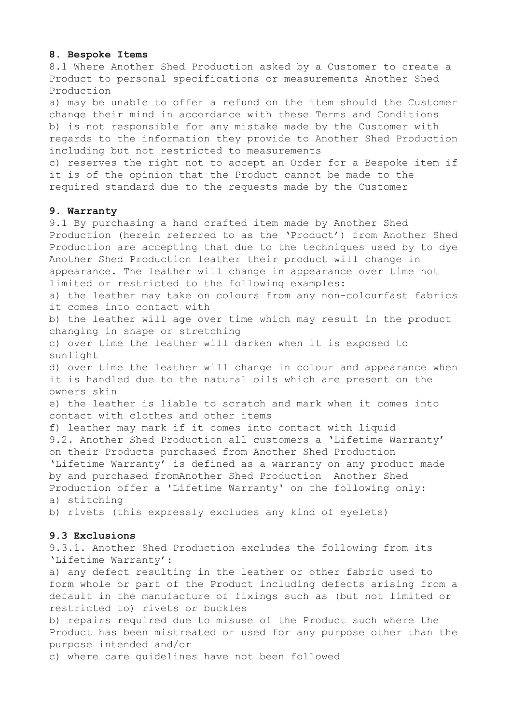#### **8. Bespoke Items**

8.1 Where Another Shed Production asked by a Customer to create a Product to personal specifications or measurements Another Shed Production

a) may be unable to offer a refund on the item should the Customer change their mind in accordance with these Terms and Conditions b) is not responsible for any mistake made by the Customer with regards to the information they provide to Another Shed Production including but not restricted to measurements

c) reserves the right not to accept an Order for a Bespoke item if it is of the opinion that the Product cannot be made to the required standard due to the requests made by the Customer

### **9. Warranty**

9.1 By purchasing a hand crafted item made by Another Shed Production (herein referred to as the 'Product') from Another Shed Production are accepting that due to the techniques used by to dye Another Shed Production leather their product will change in appearance. The leather will change in appearance over time not limited or restricted to the following examples: a) the leather may take on colours from any non-colourfast fabrics it comes into contact with b) the leather will age over time which may result in the product changing in shape or stretching c) over time the leather will darken when it is exposed to sunlight d) over time the leather will change in colour and appearance when it is handled due to the natural oils which are present on the owners skin e) the leather is liable to scratch and mark when it comes into contact with clothes and other items f) leather may mark if it comes into contact with liquid 9.2. Another Shed Production all customers a 'Lifetime Warranty' on their Products purchased from Another Shed Production 'Lifetime Warranty' is defined as a warranty on any product made by and purchased fromAnother Shed Production Another Shed Production offer a 'Lifetime Warranty' on the following only: a) stitching b) rivets (this expressly excludes any kind of eyelets) **9.3 Exclusions** 

9.3.1. Another Shed Production excludes the following from its 'Lifetime Warranty':

a) any defect resulting in the leather or other fabric used to form whole or part of the Product including defects arising from a default in the manufacture of fixings such as (but not limited or restricted to) rivets or buckles

b) repairs required due to misuse of the Product such where the Product has been mistreated or used for any purpose other than the purpose intended and/or

c) where care guidelines have not been followed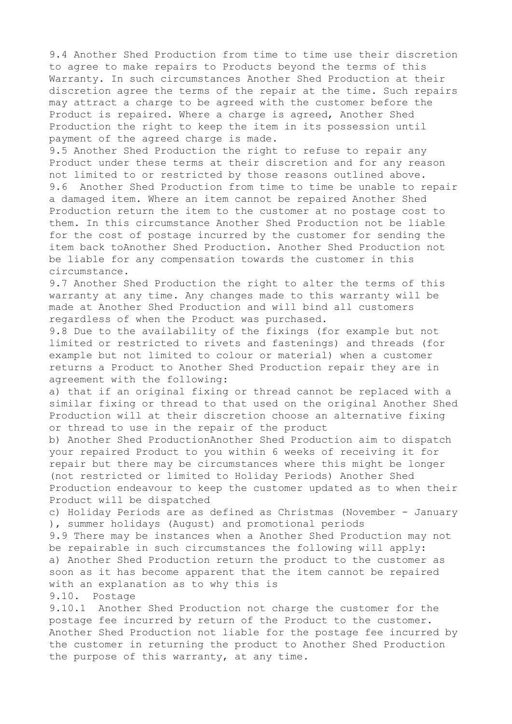9.4 Another Shed Production from time to time use their discretion to agree to make repairs to Products beyond the terms of this Warranty. In such circumstances Another Shed Production at their discretion agree the terms of the repair at the time. Such repairs may attract a charge to be agreed with the customer before the Product is repaired. Where a charge is agreed, Another Shed Production the right to keep the item in its possession until payment of the agreed charge is made.

9.5 Another Shed Production the right to refuse to repair any Product under these terms at their discretion and for any reason not limited to or restricted by those reasons outlined above. 9.6 Another Shed Production from time to time be unable to repair a damaged item. Where an item cannot be repaired Another Shed Production return the item to the customer at no postage cost to them. In this circumstance Another Shed Production not be liable for the cost of postage incurred by the customer for sending the item back toAnother Shed Production. Another Shed Production not be liable for any compensation towards the customer in this circumstance.

9.7 Another Shed Production the right to alter the terms of this warranty at any time. Any changes made to this warranty will be made at Another Shed Production and will bind all customers regardless of when the Product was purchased.

9.8 Due to the availability of the fixings (for example but not limited or restricted to rivets and fastenings) and threads (for example but not limited to colour or material) when a customer returns a Product to Another Shed Production repair they are in agreement with the following:

a) that if an original fixing or thread cannot be replaced with a similar fixing or thread to that used on the original Another Shed Production will at their discretion choose an alternative fixing or thread to use in the repair of the product

b) Another Shed ProductionAnother Shed Production aim to dispatch your repaired Product to you within 6 weeks of receiving it for repair but there may be circumstances where this might be longer (not restricted or limited to Holiday Periods) Another Shed Production endeavour to keep the customer updated as to when their Product will be dispatched

c) Holiday Periods are as defined as Christmas (November - January ), summer holidays (August) and promotional periods

9.9 There may be instances when a Another Shed Production may not be repairable in such circumstances the following will apply: a) Another Shed Production return the product to the customer as soon as it has become apparent that the item cannot be repaired with an explanation as to why this is 9.10. Postage

9.10.1 Another Shed Production not charge the customer for the postage fee incurred by return of the Product to the customer. Another Shed Production not liable for the postage fee incurred by the customer in returning the product to Another Shed Production the purpose of this warranty, at any time.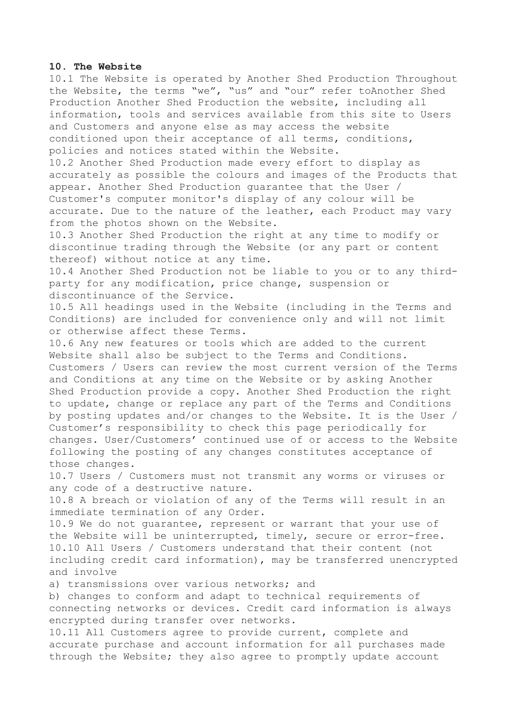#### **10. The Website**

10.1 The Website is operated by Another Shed Production Throughout the Website, the terms "we", "us" and "our" refer toAnother Shed Production Another Shed Production the website, including all information, tools and services available from this site to Users and Customers and anyone else as may access the website conditioned upon their acceptance of all terms, conditions, policies and notices stated within the Website.

10.2 Another Shed Production made every effort to display as accurately as possible the colours and images of the Products that appear. Another Shed Production guarantee that the User / Customer's computer monitor's display of any colour will be accurate. Due to the nature of the leather, each Product may vary from the photos shown on the Website.

10.3 Another Shed Production the right at any time to modify or discontinue trading through the Website (or any part or content thereof) without notice at any time.

10.4 Another Shed Production not be liable to you or to any thirdparty for any modification, price change, suspension or discontinuance of the Service.

10.5 All headings used in the Website (including in the Terms and Conditions) are included for convenience only and will not limit or otherwise affect these Terms.

10.6 Any new features or tools which are added to the current Website shall also be subject to the Terms and Conditions. Customers / Users can review the most current version of the Terms and Conditions at any time on the Website or by asking Another Shed Production provide a copy. Another Shed Production the right to update, change or replace any part of the Terms and Conditions by posting updates and/or changes to the Website. It is the User / Customer's responsibility to check this page periodically for changes. User/Customers' continued use of or access to the Website following the posting of any changes constitutes acceptance of those changes.

10.7 Users / Customers must not transmit any worms or viruses or any code of a destructive nature.

10.8 A breach or violation of any of the Terms will result in an immediate termination of any Order.

10.9 We do not guarantee, represent or warrant that your use of the Website will be uninterrupted, timely, secure or error-free. 10.10 All Users / Customers understand that their content (not including credit card information), may be transferred unencrypted and involve

a) transmissions over various networks; and

b) changes to conform and adapt to technical requirements of connecting networks or devices. Credit card information is always encrypted during transfer over networks.

10.11 All Customers agree to provide current, complete and accurate purchase and account information for all purchases made through the Website; they also agree to promptly update account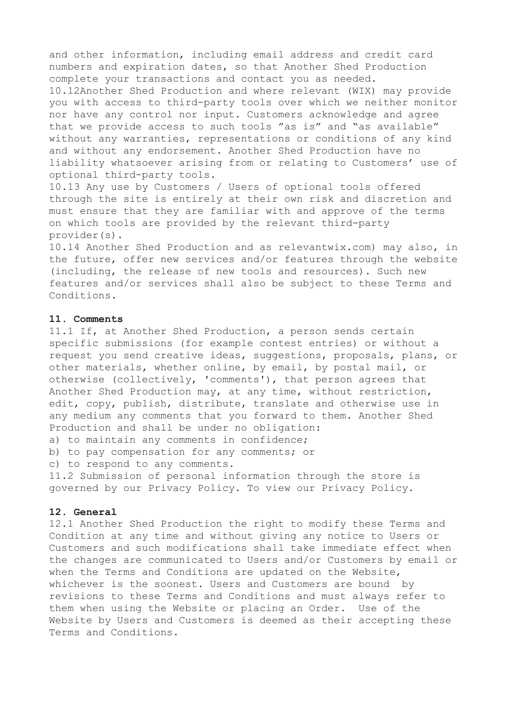and other information, including email address and credit card numbers and expiration dates, so that Another Shed Production complete your transactions and contact you as needed. 10.12Another Shed Production and where relevant (WIX) may provide you with access to third-party tools over which we neither monitor nor have any control nor input. Customers acknowledge and agree that we provide access to such tools "as is" and "as available" without any warranties, representations or conditions of any kind and without any endorsement. Another Shed Production have no liability whatsoever arising from or relating to Customers' use of optional third-party tools.

10.13 Any use by Customers / Users of optional tools offered through the site is entirely at their own risk and discretion and must ensure that they are familiar with and approve of the terms on which tools are provided by the relevant third-party provider(s).

10.14 Another Shed Production and as relevantwix.com) may also, in the future, offer new services and/or features through the website (including, the release of new tools and resources). Such new features and/or services shall also be subject to these Terms and Conditions.

## **11. Comments**

11.1 If, at Another Shed Production, a person sends certain specific submissions (for example contest entries) or without a request you send creative ideas, suggestions, proposals, plans, or other materials, whether online, by email, by postal mail, or otherwise (collectively, 'comments'), that person agrees that Another Shed Production may, at any time, without restriction, edit, copy, publish, distribute, translate and otherwise use in any medium any comments that you forward to them. Another Shed Production and shall be under no obligation:

a) to maintain any comments in confidence;

b) to pay compensation for any comments; or

c) to respond to any comments.

11.2 Submission of personal information through the store is governed by our Privacy Policy. To view our Privacy Policy.

## **12. General**

12.1 Another Shed Production the right to modify these Terms and Condition at any time and without giving any notice to Users or Customers and such modifications shall take immediate effect when the changes are communicated to Users and/or Customers by email or when the Terms and Conditions are updated on the Website, whichever is the soonest. Users and Customers are bound by revisions to these Terms and Conditions and must always refer to them when using the Website or placing an Order. Use of the Website by Users and Customers is deemed as their accepting these Terms and Conditions.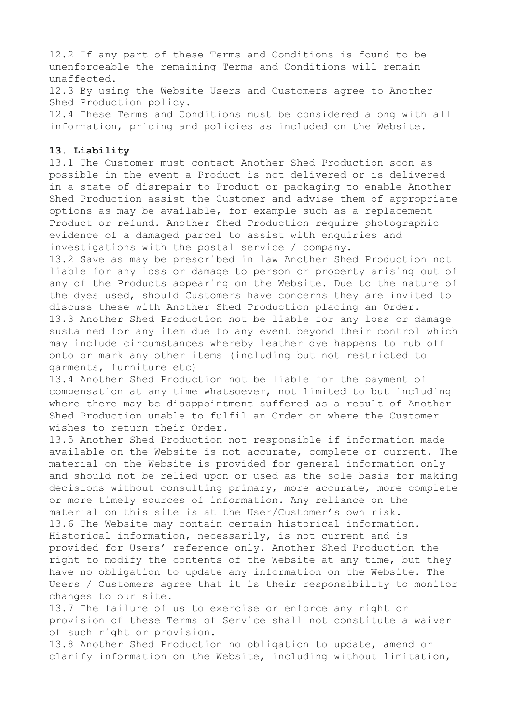12.2 If any part of these Terms and Conditions is found to be unenforceable the remaining Terms and Conditions will remain unaffected.

12.3 By using the Website Users and Customers agree to Another Shed Production policy.

12.4 These Terms and Conditions must be considered along with all information, pricing and policies as included on the Website.

#### **13. Liability**

13.1 The Customer must contact Another Shed Production soon as possible in the event a Product is not delivered or is delivered in a state of disrepair to Product or packaging to enable Another Shed Production assist the Customer and advise them of appropriate options as may be available, for example such as a replacement Product or refund. Another Shed Production require photographic evidence of a damaged parcel to assist with enquiries and investigations with the postal service / company.

13.2 Save as may be prescribed in law Another Shed Production not liable for any loss or damage to person or property arising out of any of the Products appearing on the Website. Due to the nature of the dyes used, should Customers have concerns they are invited to discuss these with Another Shed Production placing an Order. 13.3 Another Shed Production not be liable for any loss or damage sustained for any item due to any event beyond their control which may include circumstances whereby leather dye happens to rub off onto or mark any other items (including but not restricted to garments, furniture etc)

13.4 Another Shed Production not be liable for the payment of compensation at any time whatsoever, not limited to but including where there may be disappointment suffered as a result of Another Shed Production unable to fulfil an Order or where the Customer wishes to return their Order.

13.5 Another Shed Production not responsible if information made available on the Website is not accurate, complete or current. The material on the Website is provided for general information only and should not be relied upon or used as the sole basis for making decisions without consulting primary, more accurate, more complete or more timely sources of information. Any reliance on the material on this site is at the User/Customer's own risk. 13.6 The Website may contain certain historical information. Historical information, necessarily, is not current and is provided for Users' reference only. Another Shed Production the right to modify the contents of the Website at any time, but they have no obligation to update any information on the Website. The Users / Customers agree that it is their responsibility to monitor changes to our site.

13.7 The failure of us to exercise or enforce any right or provision of these Terms of Service shall not constitute a waiver of such right or provision.

13.8 Another Shed Production no obligation to update, amend or clarify information on the Website, including without limitation,